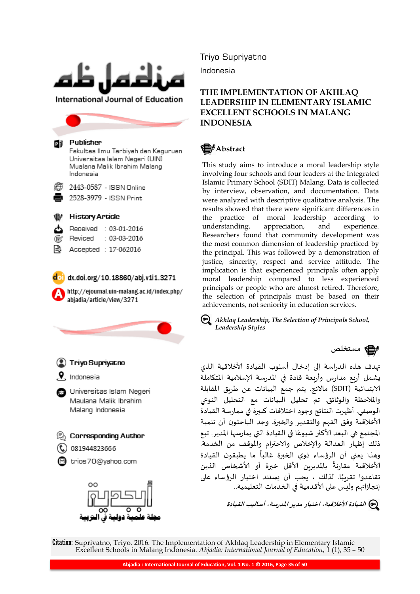

Universitas Islam Negeri (UIN) Mualana Malik Ibrahim Malang Indonesia

2443-0587 - ISSN Online

2528-3979 - ISSN Print

#### **History Article**

- Received : 03-01-2016
- Reviced  $: 03-03-2016$
- Accepted : 17-062016

 $d_0$  dx.doi.org/10.18860/abj.v1i1.3271

http://ejournal.uin-malang.ac.id/index.php/ abjadia/article/view/3271





Triyo Supriyatno

Indonesia

# **THE IMPLEMENTATION OF AKHLAQ LEADERSHIP IN ELEMENTARY ISLAMIC EXCELLENT SCHOOLS IN MALANG INDONESIA**

# **售**/Abstract

This study aims to introduce a moral leadership style involving four schools and four leaders at the Integrated Islamic Primary School (SDIT) Malang. Data is collected by interview, observation, and documentation. Data were analyzed with descriptive qualitative analysis. The results showed that there were significant differences in the practice of moral leadership according to understanding, appreciation, and experience. Researchers found that community development was the most common dimension of leadership practiced by the principal. This was followed by a demonstration of justice, sincerity, respect and service attitude. The implication is that experienced principals often apply moral leadership compared to less experienced principals or people who are almost retired. Therefore, the selection of principals must be based on their achievements, not seniority in education services.

*Akhlaq Leadership, The Selection of Principals School, Leadership Styles*

**مستخلص**

تهدف هذه الدراسة إلى إدخال أسلوب القيادة الأخلاقية الذي ٌشمل أزبع مدازس وأزبعت قادة في املدزست إلاسالميت املتكاملت الابتدائيت )SDIT )ماالهج. ًتم جمع البياهاث عن طسٍق املقابلت والملاحظة والوثائق. تم تحليل البيانات مع التحليل النوعي الوصفي. أظهرت النتائج وجود اختلافات كبيرة في ممارسة القيادة الأخلاقية وفق الفهم والتقدير والخبرة. وجد الباحثون أن تنمية ا<br>أ المجتمع هي البعد الأكثر شيوعًا في القيادة التي يمارسها المدير. تبع ذلك إظهاز العدالت وإلاخالص والاحترام واملوقف من الخدمت. وهذا يعني أن الرؤساء ذوي الخبرة غالباً ما يطبقون القيادة ر<br>آ ًالأخلاقية مقارنةً بالمديرين الأقل خبرة أو الأشخاص الذين ًتقاعدوا تقربِبًا. لذلك ، يجب أن يستند اختيار الرؤساء على إنجازاتهم وليس على الأقدمية في الخدمات التعليمية..

**القيادة ألاخالقيت، اختيار مدير املدرست، أساليب القيادة**

Citation: Supriyatno, Triyo. 2016. The Implementation of Akhlaq Leadership in Elementary Islamic Excellent Schools in Malang Indonesia. *Abjadia: International Journal of Education*, 1 (1), 35 – 50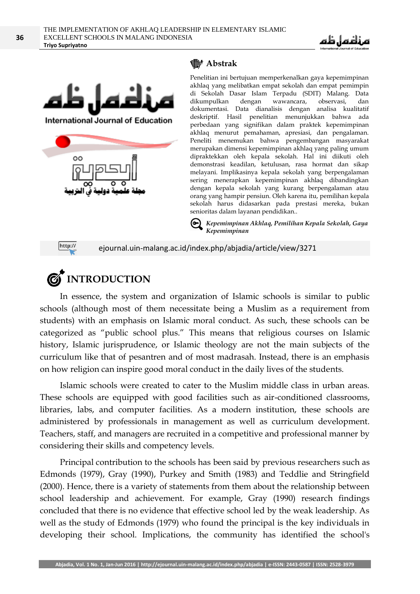



**International Journal of Education** 



# **Abstrak**

Penelitian ini bertujuan memperkenalkan gaya kepemimpinan akhlaq yang melibatkan empat sekolah dan empat pemimpin di Sekolah Dasar Islam Terpadu (SDIT) Malang. Data dikumpulkan dengan wawancara, observasi, dan dokumentasi. Data dianalisis dengan analisa kualitatif deskriptif. Hasil penelitian menunjukkan bahwa ada perbedaan yang signifikan dalam praktek kepemimpinan akhlaq menurut pemahaman, apresiasi, dan pengalaman. Peneliti menemukan bahwa pengembangan masyarakat merupakan dimensi kepemimpinan akhlaq yang paling umum dipraktekkan oleh kepala sekolah. Hal ini diikuti oleh demonstrasi keadilan, ketulusan, rasa hormat dan sikap melayani. Implikasinya kepala sekolah yang berpengalaman sering menerapkan kepemimpinan akhlaq dibandingkan dengan kepala sekolah yang kurang berpengalaman atau orang yang hampir pensiun. Oleh karena itu, pemilihan kepala sekolah harus didasarkan pada prestasi mereka, bukan senioritas dalam layanan pendidikan..

*Kepemimpinan Akhlaq, Pemilihan Kepala Sekolah, Gaya Kepemimpinan*

http://

ejournal.uin-malang.ac.id/index.php/abjadia/article/view/3271



In essence, the system and organization of Islamic schools is similar to public schools (although most of them necessitate being a Muslim as a requirement from students) with an emphasis on Islamic moral conduct. As such, these schools can be categorized as "public school plus." This means that religious courses on Islamic history, Islamic jurisprudence, or Islamic theology are not the main subjects of the curriculum like that of pesantren and of most madrasah. Instead, there is an emphasis on how religion can inspire good moral conduct in the daily lives of the students.

Islamic schools were created to cater to the Muslim middle class in urban areas. These schools are equipped with good facilities such as air-conditioned classrooms, libraries, labs, and computer facilities. As a modern institution, these schools are administered by professionals in management as well as curriculum development. Teachers, staff, and managers are recruited in a competitive and professional manner by considering their skills and competency levels.

Principal contribution to the schools has been said by previous researchers such as Edmonds (1979), Gray (1990), Purkey and Smith (1983) and Teddlie and Stringfield (2000). Hence, there is a variety of statements from them about the relationship between school leadership and achievement. For example, Gray (1990) research findings concluded that there is no evidence that effective school led by the weak leadership. As well as the study of Edmonds (1979) who found the principal is the key individuals in developing their school. Implications, the community has identified the school's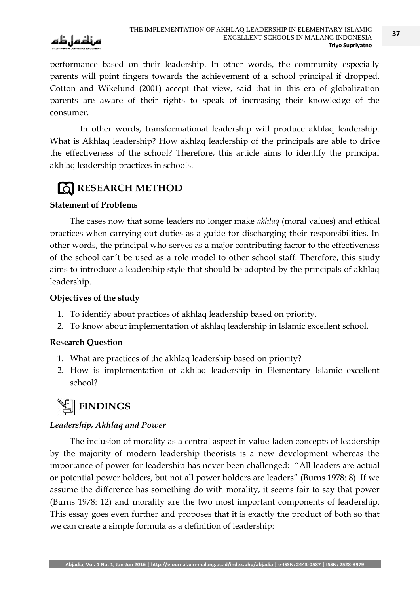

performance based on their leadership. In other words, the community especially parents will point fingers towards the achievement of a school principal if dropped. Cotton and Wikelund (2001) accept that view, said that in this era of globalization parents are aware of their rights to speak of increasing their knowledge of the consumer.

In other words, transformational leadership will produce akhlaq leadership. What is Akhlaq leadership? How akhlaq leadership of the principals are able to drive the effectiveness of the school? Therefore, this article aims to identify the principal akhlaq leadership practices in schools.

# *EQ RESEARCH METHOD*

# **Statement of Problems**

The cases now that some leaders no longer make *akhlaq* (moral values) and ethical practices when carrying out duties as a guide for discharging their responsibilities. In other words, the principal who serves as a major contributing factor to the effectiveness of the school can't be used as a role model to other school staff. Therefore, this study aims to introduce a leadership style that should be adopted by the principals of akhlaq leadership.

# **Objectives of the study**

- 1. To identify about practices of akhlaq leadership based on priority.
- 2. To know about implementation of akhlaq leadership in Islamic excellent school.

# **Research Question**

- 1. What are practices of the akhlaq leadership based on priority?
- 2. How is implementation of akhlaq leadership in Elementary Islamic excellent school?

# **FINDINGS**

# *Leadership, Akhlaq and Power*

The inclusion of morality as a central aspect in value-laden concepts of leadership by the majority of modern leadership theorists is a new development whereas the importance of power for leadership has never been challenged: "All leaders are actual or potential power holders, but not all power holders are leaders" (Burns 1978: 8). If we assume the difference has something do with morality, it seems fair to say that power (Burns 1978: 12) and morality are the two most important components of leadership. This essay goes even further and proposes that it is exactly the product of both so that we can create a simple formula as a definition of leadership: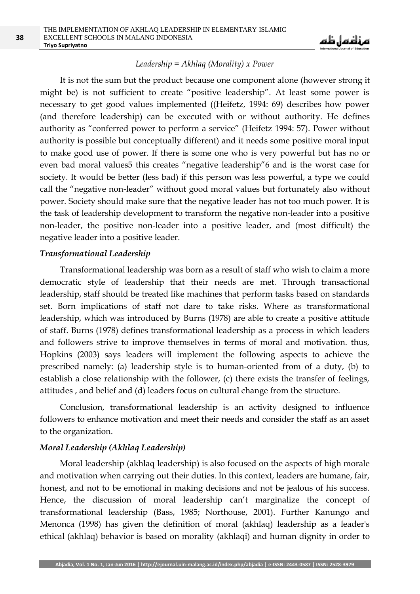

### *Leadership = Akhlaq (Morality) x Power*

It is not the sum but the product because one component alone (however strong it might be) is not sufficient to create "positive leadership". At least some power is necessary to get good values implemented ((Heifetz, 1994: 69) describes how power (and therefore leadership) can be executed with or without authority. He defines authority as "conferred power to perform a service" (Heifetz 1994: 57). Power without authority is possible but conceptually different) and it needs some positive moral input to make good use of power. If there is some one who is very powerful but has no or even bad moral values5 this creates "negative leadership"6 and is the worst case for society. It would be better (less bad) if this person was less powerful, a type we could call the "negative non-leader" without good moral values but fortunately also without power. Society should make sure that the negative leader has not too much power. It is the task of leadership development to transform the negative non-leader into a positive non-leader, the positive non-leader into a positive leader, and (most difficult) the negative leader into a positive leader.

### *Transformational Leadership*

Transformational leadership was born as a result of staff who wish to claim a more democratic style of leadership that their needs are met. Through transactional leadership, staff should be treated like machines that perform tasks based on standards set. Born implications of staff not dare to take risks. Where as transformational leadership, which was introduced by Burns (1978) are able to create a positive attitude of staff. Burns (1978) defines transformational leadership as a process in which leaders and followers strive to improve themselves in terms of moral and motivation. thus, Hopkins (2003) says leaders will implement the following aspects to achieve the prescribed namely: (a) leadership style is to human-oriented from of a duty, (b) to establish a close relationship with the follower, (c) there exists the transfer of feelings, attitudes , and belief and (d) leaders focus on cultural change from the structure.

Conclusion, transformational leadership is an activity designed to influence followers to enhance motivation and meet their needs and consider the staff as an asset to the organization.

### *Moral Leadership (Akhlaq Leadership)*

Moral leadership (akhlaq leadership) is also focused on the aspects of high morale and motivation when carrying out their duties. In this context, leaders are humane, fair, honest, and not to be emotional in making decisions and not be jealous of his success. Hence, the discussion of moral leadership can't marginalize the concept of transformational leadership (Bass, 1985; Northouse, 2001). Further Kanungo and Menonca (1998) has given the definition of moral (akhlaq) leadership as a leader's ethical (akhlaq) behavior is based on morality (akhlaqi) and human dignity in order to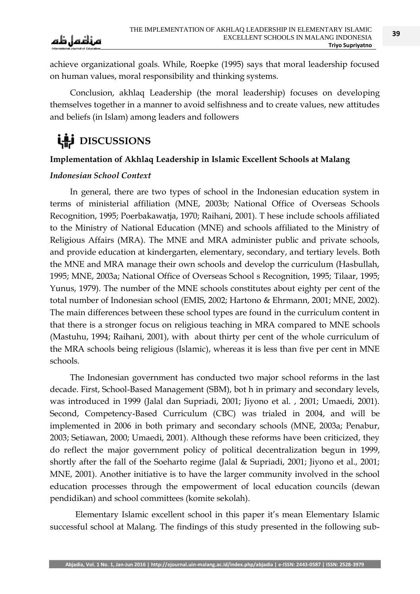**39**

achieve organizational goals. While, Roepke (1995) says that moral leadership focused on human values, moral responsibility and thinking systems.

Conclusion, akhlaq Leadership (the moral leadership) focuses on developing themselves together in a manner to avoid selfishness and to create values, new attitudes and beliefs (in Islam) among leaders and followers

# **LAS** DISCUSSIONS

# **Implementation of Akhlaq Leadership in Islamic Excellent Schools at Malang**

# *Indonesian School Context*

In general, there are two types of school in the Indonesian education system in terms of ministerial affiliation (MNE, 2003b; National Office of Overseas Schools Recognition, 1995; Poerbakawatja, 1970; Raihani, 2001). T hese include schools affiliated to the Ministry of National Education (MNE) and schools affiliated to the Ministry of Religious Affairs (MRA). The MNE and MRA administer public and private schools, and provide education at kindergarten, elementary, secondary, and tertiary levels. Both the MNE and MRA manage their own schools and develop the curriculum (Hasbullah, 1995; MNE, 2003a; National Office of Overseas School s Recognition, 1995; Tilaar, 1995; Yunus, 1979). The number of the MNE schools constitutes about eighty per cent of the total number of Indonesian school (EMIS, 2002; Hartono & Ehrmann, 2001; MNE, 2002). The main differences between these school types are found in the curriculum content in that there is a stronger focus on religious teaching in MRA compared to MNE schools (Mastuhu, 1994; Raihani, 2001), with about thirty per cent of the whole curriculum of the MRA schools being religious (Islamic), whereas it is less than five per cent in MNE schools.

The Indonesian government has conducted two major school reforms in the last decade. First, School-Based Management (SBM), bot h in primary and secondary levels, was introduced in 1999 (Jalal dan Supriadi, 2001; Jiyono et al. , 2001; Umaedi, 2001). Second, Competency-Based Curriculum (CBC) was trialed in 2004, and will be implemented in 2006 in both primary and secondary schools (MNE, 2003a; Penabur, 2003; Setiawan, 2000; Umaedi, 2001). Although these reforms have been criticized, they do reflect the major government policy of political decentralization begun in 1999, shortly after the fall of the Soeharto regime (Jalal & Supriadi, 2001; Jiyono et al., 2001; MNE, 2001). Another initiative is to have the larger community involved in the school education processes through the empowerment of local education councils (dewan pendidikan) and school committees (komite sekolah).

Elementary Islamic excellent school in this paper it's mean Elementary Islamic successful school at Malang. The findings of this study presented in the following sub-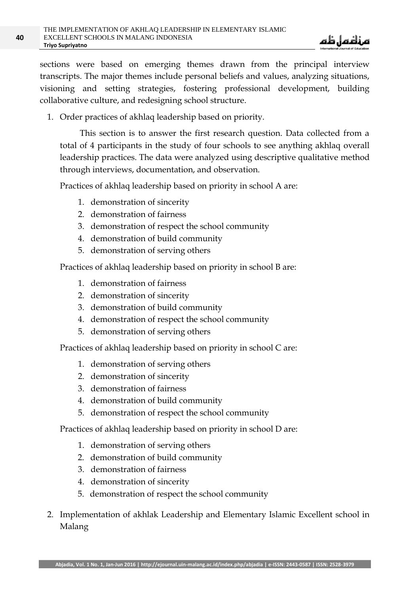

sections were based on emerging themes drawn from the principal interview transcripts. The major themes include personal beliefs and values, analyzing situations, visioning and setting strategies, fostering professional development, building collaborative culture, and redesigning school structure.

1. Order practices of akhlaq leadership based on priority.

This section is to answer the first research question. Data collected from a total of 4 participants in the study of four schools to see anything akhlaq overall leadership practices. The data were analyzed using descriptive qualitative method through interviews, documentation, and observation.

Practices of akhlaq leadership based on priority in school A are:

- 1. demonstration of sincerity
- 2. demonstration of fairness
- 3. demonstration of respect the school community
- 4. demonstration of build community
- 5. demonstration of serving others

Practices of akhlaq leadership based on priority in school B are:

- 1. demonstration of fairness
- 2. demonstration of sincerity
- 3. demonstration of build community
- 4. demonstration of respect the school community
- 5. demonstration of serving others

Practices of akhlaq leadership based on priority in school C are:

- 1. demonstration of serving others
- 2. demonstration of sincerity
- 3. demonstration of fairness
- 4. demonstration of build community
- 5. demonstration of respect the school community

Practices of akhlaq leadership based on priority in school D are:

- 1. demonstration of serving others
- 2. demonstration of build community
- 3. demonstration of fairness
- 4. demonstration of sincerity
- 5. demonstration of respect the school community
- 2. Implementation of akhlak Leadership and Elementary Islamic Excellent school in Malang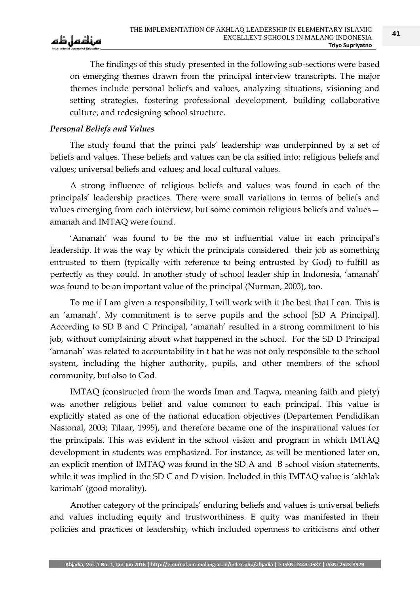The findings of this study presented in the following sub-sections were based on emerging themes drawn from the principal interview transcripts. The major themes include personal beliefs and values, analyzing situations, visioning and setting strategies, fostering professional development, building collaborative culture, and redesigning school structure.

# *Personal Beliefs and Values*

The study found that the princi pals' leadership was underpinned by a set of beliefs and values. These beliefs and values can be cla ssified into: religious beliefs and values; universal beliefs and values; and local cultural values.

A strong influence of religious beliefs and values was found in each of the principals' leadership practices. There were small variations in terms of beliefs and values emerging from each interview, but some common religious beliefs and values amanah and IMTAQ were found.

‗Amanah' was found to be the mo st influential value in each principal's leadership. It was the way by which the principals considered their job as something entrusted to them (typically with reference to being entrusted by God) to fulfill as perfectly as they could. In another study of school leader ship in Indonesia, 'amanah' was found to be an important value of the principal (Nurman, 2003), too.

To me if I am given a responsibility, I will work with it the best that I can. This is an 'amanah'. My commitment is to serve pupils and the school [SD A Principal]. According to SD B and C Principal, 'amanah' resulted in a strong commitment to his job, without complaining about what happened in the school. For the SD D Principal 'amanah' was related to accountability in t hat he was not only responsible to the school system, including the higher authority, pupils, and other members of the school community, but also to God.

IMTAQ (constructed from the words Iman and Taqwa, meaning faith and piety) was another religious belief and value common to each principal. This value is explicitly stated as one of the national education objectives (Departemen Pendidikan Nasional, 2003; Tilaar, 1995), and therefore became one of the inspirational values for the principals. This was evident in the school vision and program in which IMTAQ development in students was emphasized. For instance, as will be mentioned later on, an explicit mention of IMTAQ was found in the SD A and B school vision statements, while it was implied in the SD C and D vision. Included in this IMTAQ value is 'akhlak karimah' (good morality).

Another category of the principals' enduring beliefs and values is universal beliefs and values including equity and trustworthiness. E quity was manifested in their policies and practices of leadership, which included openness to criticisms and other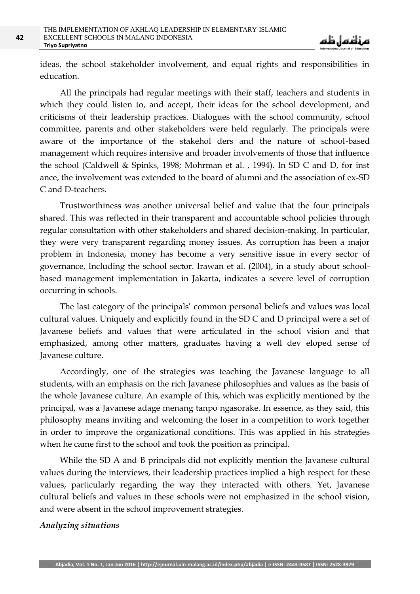ideas, the school stakeholder involvement, and equal rights and responsibilities in education.

All the principals had regular meetings with their staff, teachers and students in which they could listen to, and accept, their ideas for the school development, and criticisms of their leadership practices. Dialogues with the school community, school committee, parents and other stakeholders were held regularly. The principals were aware of the importance of the stakehol ders and the nature of school-based management which requires intensive and broader involvements of those that influence the school (Caldwell & Spinks, 1998; Mohrman et al. , 1994). In SD C and D, for inst ance, the involvement was extended to the board of alumni and the association of ex-SD C and D-teachers.

Trustworthiness was another universal belief and value that the four principals shared. This was reflected in their transparent and accountable school policies through regular consultation with other stakeholders and shared decision-making. In particular, they were very transparent regarding money issues. As corruption has been a major problem in Indonesia, money has become a very sensitive issue in every sector of governance, Including the school sector. Irawan et al. (2004), in a study about schoolbased management implementation in Jakarta, indicates a severe level of corruption occurring in schools.

The last category of the principals' common personal beliefs and values was local cultural values. Uniquely and explicitly found in the SD C and D principal were a set of Javanese beliefs and values that were articulated in the school vision and that emphasized, among other matters, graduates having a well dev eloped sense of Javanese culture.

Accordingly, one of the strategies was teaching the Javanese language to all students, with an emphasis on the rich Javanese philosophies and values as the basis of the whole Javanese culture. An example of this, which was explicitly mentioned by the principal, was a Javanese adage menang tanpo ngasorake. In essence, as they said, this philosophy means inviting and welcoming the loser in a competition to work together in order to improve the organizational conditions. This was applied in his strategies when he came first to the school and took the position as principal.

While the SD A and B principals did not explicitly mention the Javanese cultural values during the interviews, their leadership practices implied a high respect for these values, particularly regarding the way they interacted with others. Yet, Javanese cultural beliefs and values in these schools were not emphasized in the school vision, and were absent in the school improvement strategies.

#### *Analyzing situations*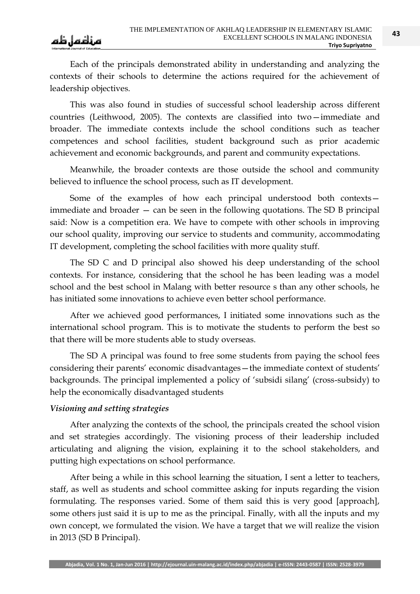Each of the principals demonstrated ability in understanding and analyzing the contexts of their schools to determine the actions required for the achievement of leadership objectives.

This was also found in studies of successful school leadership across different countries (Leithwood, 2005). The contexts are classified into two—immediate and broader. The immediate contexts include the school conditions such as teacher competences and school facilities, student background such as prior academic achievement and economic backgrounds, and parent and community expectations.

Meanwhile, the broader contexts are those outside the school and community believed to influence the school process, such as IT development.

Some of the examples of how each principal understood both contexts immediate and broader — can be seen in the following quotations. The SD B principal said: Now is a competition era. We have to compete with other schools in improving our school quality, improving our service to students and community, accommodating IT development, completing the school facilities with more quality stuff.

The SD C and D principal also showed his deep understanding of the school contexts. For instance, considering that the school he has been leading was a model school and the best school in Malang with better resource s than any other schools, he has initiated some innovations to achieve even better school performance.

After we achieved good performances, I initiated some innovations such as the international school program. This is to motivate the students to perform the best so that there will be more students able to study overseas.

The SD A principal was found to free some students from paying the school fees considering their parents' economic disadvantages—the immediate context of students' backgrounds. The principal implemented a policy of 'subsidi silang' (cross-subsidy) to help the economically disadvantaged students

# *Visioning and setting strategies*

After analyzing the contexts of the school, the principals created the school vision and set strategies accordingly. The visioning process of their leadership included articulating and aligning the vision, explaining it to the school stakeholders, and putting high expectations on school performance.

After being a while in this school learning the situation, I sent a letter to teachers, staff, as well as students and school committee asking for inputs regarding the vision formulating. The responses varied. Some of them said this is very good [approach], some others just said it is up to me as the principal. Finally, with all the inputs and my own concept, we formulated the vision. We have a target that we will realize the vision in 2013 (SD B Principal).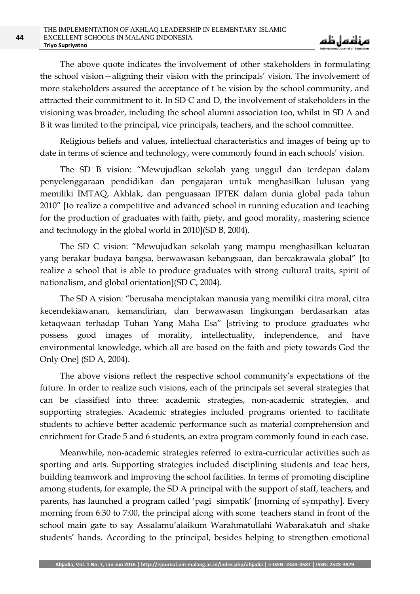The above quote indicates the involvement of other stakeholders in formulating the school vision—aligning their vision with the principals' vision. The involvement of more stakeholders assured the acceptance of t he vision by the school community, and attracted their commitment to it. In SD C and D, the involvement of stakeholders in the visioning was broader, including the school alumni association too, whilst in SD A and B it was limited to the principal, vice principals, teachers, and the school committee.

Religious beliefs and values, intellectual characteristics and images of being up to date in terms of science and technology, were commonly found in each schools' vision.

The SD B vision: "Mewujudkan sekolah yang unggul dan terdepan dalam penyelenggaraan pendidikan dan pengajaran untuk menghasilkan lulusan yang memiliki IMTAQ, Akhlak, dan penguasaan IPTEK dalam dunia global pada tahun 2010" [to realize a competitive and advanced school in running education and teaching for the production of graduates with faith, piety, and good morality, mastering science and technology in the global world in 2010](SD B, 2004).

The SD C vision: "Mewujudkan sekolah yang mampu menghasilkan keluaran yang berakar budaya bangsa, berwawasan kebangsaan, dan bercakrawala global" [to realize a school that is able to produce graduates with strong cultural traits, spirit of nationalism, and global orientation](SD C, 2004).

The SD A vision: "berusaha menciptakan manusia yang memiliki citra moral, citra kecendekiawanan, kemandirian, dan berwawasan lingkungan berdasarkan atas ketaqwaan terhadap Tuhan Yang Maha Esa" [striving to produce graduates who possess good images of morality, intellectuality, independence, and have environmental knowledge, which all are based on the faith and piety towards God the Only One] (SD A, 2004).

The above visions reflect the respective school community's expectations of the future. In order to realize such visions, each of the principals set several strategies that can be classified into three: academic strategies, non-academic strategies, and supporting strategies. Academic strategies included programs oriented to facilitate students to achieve better academic performance such as material comprehension and enrichment for Grade 5 and 6 students, an extra program commonly found in each case.

Meanwhile, non-academic strategies referred to extra-curricular activities such as sporting and arts. Supporting strategies included disciplining students and teac hers, building teamwork and improving the school facilities. In terms of promoting discipline among students, for example, the SD A principal with the support of staff, teachers, and parents, has launched a program called 'pagi simpatik' [morning of sympathy]. Every morning from 6:30 to 7:00, the principal along with some teachers stand in front of the school main gate to say Assalamu'alaikum Warahmatullahi Wabarakatuh and shake students' hands. According to the principal, besides helping to strengthen emotional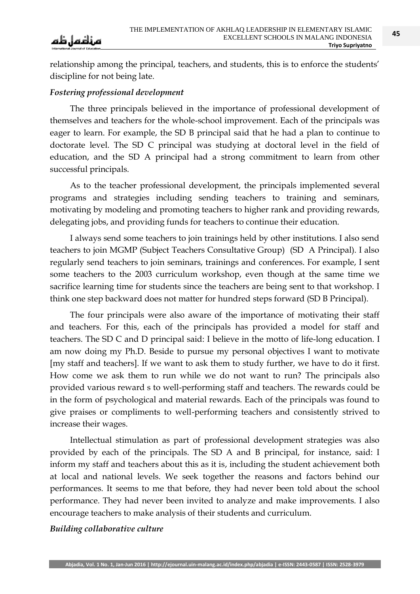

relationship among the principal, teachers, and students, this is to enforce the students' discipline for not being late.

### *Fostering professional development*

The three principals believed in the importance of professional development of themselves and teachers for the whole-school improvement. Each of the principals was eager to learn. For example, the SD B principal said that he had a plan to continue to doctorate level. The SD C principal was studying at doctoral level in the field of education, and the SD A principal had a strong commitment to learn from other successful principals.

As to the teacher professional development, the principals implemented several programs and strategies including sending teachers to training and seminars, motivating by modeling and promoting teachers to higher rank and providing rewards, delegating jobs, and providing funds for teachers to continue their education.

I always send some teachers to join trainings held by other institutions. I also send teachers to join MGMP (Subject Teachers Consultative Group) (SD A Principal). I also regularly send teachers to join seminars, trainings and conferences. For example, I sent some teachers to the 2003 curriculum workshop, even though at the same time we sacrifice learning time for students since the teachers are being sent to that workshop. I think one step backward does not matter for hundred steps forward (SD B Principal).

The four principals were also aware of the importance of motivating their staff and teachers. For this, each of the principals has provided a model for staff and teachers. The SD C and D principal said: I believe in the motto of life-long education. I am now doing my Ph.D. Beside to pursue my personal objectives I want to motivate [my staff and teachers]. If we want to ask them to study further, we have to do it first. How come we ask them to run while we do not want to run? The principals also provided various reward s to well-performing staff and teachers. The rewards could be in the form of psychological and material rewards. Each of the principals was found to give praises or compliments to well-performing teachers and consistently strived to increase their wages.

Intellectual stimulation as part of professional development strategies was also provided by each of the principals. The SD A and B principal, for instance, said: I inform my staff and teachers about this as it is, including the student achievement both at local and national levels. We seek together the reasons and factors behind our performances. It seems to me that before, they had never been told about the school performance. They had never been invited to analyze and make improvements. I also encourage teachers to make analysis of their students and curriculum.

### *Building collaborative culture*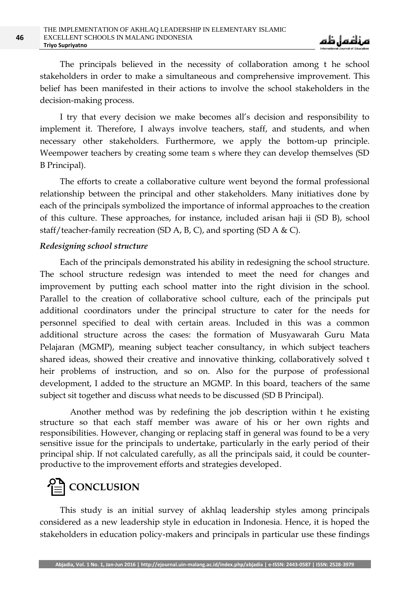The principals believed in the necessity of collaboration among t he school stakeholders in order to make a simultaneous and comprehensive improvement. This belief has been manifested in their actions to involve the school stakeholders in the decision-making process.

I try that every decision we make becomes all's decision and responsibility to implement it. Therefore, I always involve teachers, staff, and students, and when necessary other stakeholders. Furthermore, we apply the bottom-up principle. Weempower teachers by creating some team s where they can develop themselves (SD B Principal).

The efforts to create a collaborative culture went beyond the formal professional relationship between the principal and other stakeholders. Many initiatives done by each of the principals symbolized the importance of informal approaches to the creation of this culture. These approaches, for instance, included arisan haji ii (SD B), school staff/teacher-family recreation (SD A, B, C), and sporting (SD A & C).

#### *Redesigning school structure*

Each of the principals demonstrated his ability in redesigning the school structure. The school structure redesign was intended to meet the need for changes and improvement by putting each school matter into the right division in the school. Parallel to the creation of collaborative school culture, each of the principals put additional coordinators under the principal structure to cater for the needs for personnel specified to deal with certain areas. Included in this was a common additional structure across the cases: the formation of Musyawarah Guru Mata Pelajaran (MGMP), meaning subject teacher consultancy, in which subject teachers shared ideas, showed their creative and innovative thinking, collaboratively solved t heir problems of instruction, and so on. Also for the purpose of professional development, I added to the structure an MGMP. In this board, teachers of the same subject sit together and discuss what needs to be discussed (SD B Principal).

Another method was by redefining the job description within t he existing structure so that each staff member was aware of his or her own rights and responsibilities. However, changing or replacing staff in general was found to be a very sensitive issue for the principals to undertake, particularly in the early period of their principal ship. If not calculated carefully, as all the principals said, it could be counterproductive to the improvement efforts and strategies developed.

# **CONCLUSION**

This study is an initial survey of akhlaq leadership styles among principals considered as a new leadership style in education in Indonesia. Hence, it is hoped the stakeholders in education policy-makers and principals in particular use these findings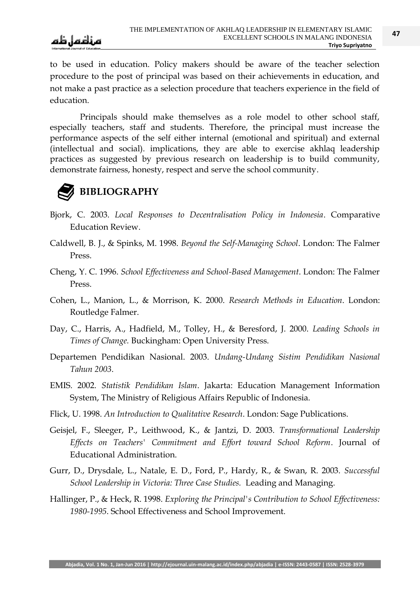to be used in education. Policy makers should be aware of the teacher selection procedure to the post of principal was based on their achievements in education, and not make a past practice as a selection procedure that teachers experience in the field of education.

Principals should make themselves as a role model to other school staff, especially teachers, staff and students. Therefore, the principal must increase the performance aspects of the self either internal (emotional and spiritual) and external (intellectual and social). implications, they are able to exercise akhlaq leadership practices as suggested by previous research on leadership is to build community, demonstrate fairness, honesty, respect and serve the school community.



# **BIBLIOGRAPHY**

- Bjork, C. 2003. *Local Responses to Decentralisation Policy in Indonesia*. Comparative Education Review.
- Caldwell, B. J., & Spinks, M. 1998. *Beyond the Self-Managing School*. London: The Falmer Press.
- Cheng, Y. C. 1996. *School Effectiveness and School-Based Management*. London: The Falmer Press.
- Cohen, L., Manion, L., & Morrison, K. 2000. *Research Methods in Education*. London: Routledge Falmer.
- Day, C., Harris, A., Hadfield, M., Tolley, H., & Beresford, J. 2000. *Leading Schools in Times of Change.* Buckingham: Open University Press.
- Departemen Pendidikan Nasional. 2003. *Undang-Undang Sistim Pendidikan Nasional Tahun 2003*.
- EMIS. 2002. *Statistik Pendidikan Islam*. Jakarta: Education Management Information System, The Ministry of Religious Affairs Republic of Indonesia.
- Flick, U. 1998. *An Introduction to Qualitative Research*. London: Sage Publications.
- Geisjel, F., Sleeger, P., Leithwood, K., & Jantzi, D. 2003. *Transformational Leadership Effects on Teachers' Commitment and Effort toward School Reform*. Journal of Educational Administration.
- Gurr, D., Drysdale, L., Natale, E. D., Ford, P., Hardy, R., & Swan, R. 2003. *Successful School Leadership in Victoria: Three Case Studies.* Leading and Managing.
- Hallinger, P., & Heck, R. 1998. *Exploring the Principal's Contribution to School Effectiveness: 1980-1995*. School Effectiveness and School Improvement.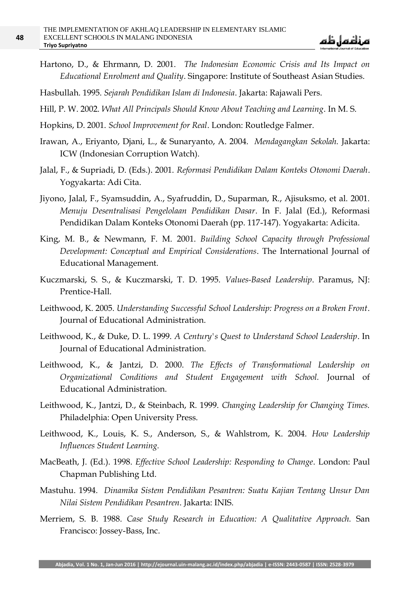Hartono, D., & Ehrmann, D. 2001. *The Indonesian Economic Crisis and Its Impact on Educational Enrolment and Quality*. Singapore: Institute of Southeast Asian Studies.

Hasbullah. 1995. *Sejarah Pendidikan Islam di Indonesia*. Jakarta: Rajawali Pers.

- Hill, P. W. 2002. *What All Principals Should Know About Teaching and Learning*. In M. S.
- Hopkins, D. 2001. *School Improvement for Real*. London: Routledge Falmer.
- Irawan, A., Eriyanto, Djani, L., & Sunaryanto, A. 2004. *Mendagangkan Sekolah.* Jakarta: ICW (Indonesian Corruption Watch).
- Jalal, F., & Supriadi, D. (Eds.). 2001. *Reformasi Pendidikan Dalam Konteks Otonomi Daerah*. Yogyakarta: Adi Cita.
- Jiyono, Jalal, F., Syamsuddin, A., Syafruddin, D., Suparman, R., Ajisuksmo, et al. 2001. *Menuju Desentralisasi Pengelolaan Pendidikan Dasar*. In F. Jalal (Ed.), Reformasi Pendidikan Dalam Konteks Otonomi Daerah (pp. 117-147). Yogyakarta: Adicita.
- King, M. B., & Newmann, F. M. 2001. *Building School Capacity through Professional Development: Conceptual and Empirical Considerations*. The International Journal of Educational Management.
- Kuczmarski, S. S., & Kuczmarski, T. D. 1995. *Values-Based Leadership*. Paramus, NJ: Prentice-Hall.
- Leithwood, K. 2005. *Understanding Successful School Leadership: Progress on a Broken Front*. Journal of Educational Administration.
- Leithwood, K., & Duke, D. L. 1999. *A Century's Quest to Understand School Leadership*. In Journal of Educational Administration.
- Leithwood, K., & Jantzi, D. 2000. *The Effects of Transformational Leadership on Organizational Conditions and Student Engagement with School.* Journal of Educational Administration.
- Leithwood, K., Jantzi, D., & Steinbach, R. 1999. *Changing Leadership for Changing Times.* Philadelphia: Open University Press.
- Leithwood, K., Louis, K. S., Anderson, S., & Wahlstrom, K. 2004. *How Leadership Influences Student Learning.*
- MacBeath, J. (Ed.). 1998. *Effective School Leadership: Responding to Change*. London: Paul Chapman Publishing Ltd.
- Mastuhu. 1994. *Dinamika Sistem Pendidikan Pesantren: Suatu Kajian Tentang Unsur Dan Nilai Sistem Pendidikan Pesantren*. Jakarta: INIS.
- Merriem, S. B. 1988. *Case Study Research in Education: A Qualitative Approach.* San Francisco: Jossey-Bass, Inc.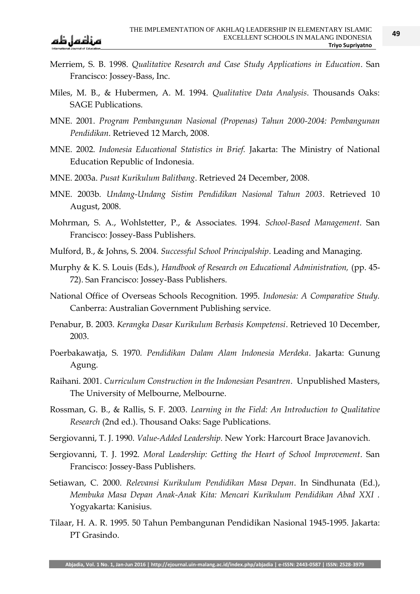- Merriem, S. B. 1998. *Qualitative Research and Case Study Applications in Education*. San Francisco: Jossey-Bass, Inc.
- Miles, M. B., & Hubermen, A. M. 1994. *Qualitative Data Analysis*. Thousands Oaks: SAGE Publications.
- MNE. 2001. *Program Pembangunan Nasional (Propenas) Tahun 2000-2004: Pembangunan Pendidikan*. Retrieved 12 March, 2008.
- MNE. 2002. *Indonesia Educational Statistics in Brief.* Jakarta: The Ministry of National Education Republic of Indonesia.
- MNE. 2003a. *Pusat Kurikulum Balitbang*. Retrieved 24 December, 2008.
- MNE. 2003b. *Undang-Undang Sistim Pendidikan Nasional Tahun 2003*. Retrieved 10 August, 2008.
- Mohrman, S. A., Wohlstetter, P., & Associates. 1994. *School-Based Management*. San Francisco: Jossey-Bass Publishers.
- Mulford, B., & Johns, S. 2004*. Successful School Principalship*. Leading and Managing.
- Murphy & K. S. Louis (Eds.), *Handbook of Research on Educational Administration,* (pp. 45- 72). San Francisco: Jossey-Bass Publishers.
- National Office of Overseas Schools Recognition. 1995. *Indonesia: A Comparative Study.* Canberra: Australian Government Publishing service.
- Penabur, B. 2003. *Kerangka Dasar Kurikulum Berbasis Kompetensi*. Retrieved 10 December, 2003.
- Poerbakawatja, S. 1970*. Pendidikan Dalam Alam Indonesia Merdeka*. Jakarta: Gunung Agung.
- Raihani. 2001. *Curriculum Construction in the Indonesian Pesantren*. Unpublished Masters, The University of Melbourne, Melbourne.
- Rossman, G. B., & Rallis, S. F. 2003. *Learning in the Field: An Introduction to Qualitative Research* (2nd ed.). Thousand Oaks: Sage Publications.
- Sergiovanni, T. J. 1990. *Value-Added Leadership.* New York: Harcourt Brace Javanovich.
- Sergiovanni, T. J. 1992. *Moral Leadership: Getting the Heart of School Improvement*. San Francisco: Jossey-Bass Publishers.
- Setiawan, C. 2000. *Relevansi Kurikulum Pendidikan Masa Depan*. In Sindhunata (Ed.), *Membuka Masa Depan Anak-Anak Kita: Mencari Kurikulum Pendidikan Abad XXI .*  Yogyakarta: Kanisius.
- Tilaar, H. A. R. 1995. 50 Tahun Pembangunan Pendidikan Nasional 1945-1995. Jakarta: PT Grasindo.